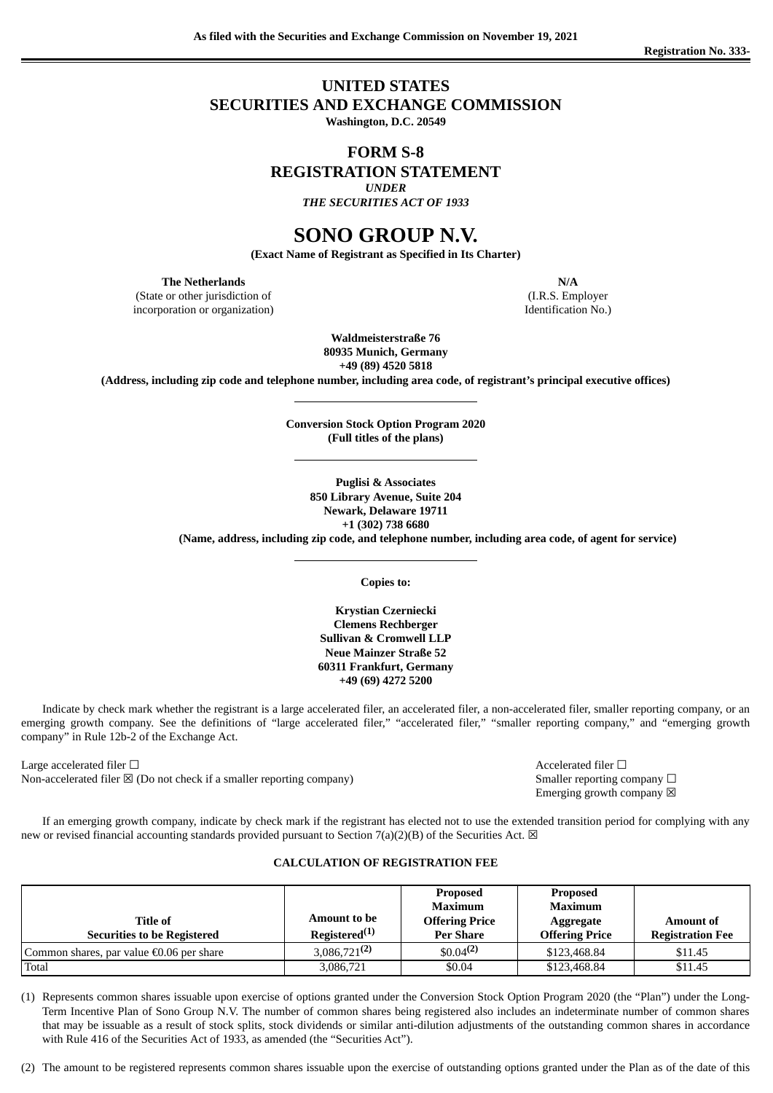# **UNITED STATES SECURITIES AND EXCHANGE COMMISSION**

**Washington, D.C. 20549**

# **FORM S-8**

**REGISTRATION STATEMENT**

*UNDER*

*THE SECURITIES ACT OF 1933*

# **SONO GROUP N.V.**

**(Exact Name of Registrant as Specified in Its Charter)**

**The Netherlands N/A**

(State or other jurisdiction of incorporation or organization)

(I.R.S. Employer Identification No.)

**Waldmeisterstraße 76 80935 Munich, Germany +49 (89) 4520 5818**

**(Address, including zip code and telephone number, including area code, of registrant's principal executive offices)**

**Conversion Stock Option Program 2020 (Full titles of the plans)**

**Puglisi & Associates 850 Library Avenue, Suite 204 Newark, Delaware 19711 +1 (302) 738 6680 (Name, address, including zip code, and telephone number, including area code, of agent for service)**

**Copies to:**

**Krystian Czerniecki Clemens Rechberger Sullivan & Cromwell LLP Neue Mainzer Straße 52 60311 Frankfurt, Germany +49 (69) 4272 5200**

Indicate by check mark whether the registrant is a large accelerated filer, an accelerated filer, a non-accelerated filer, smaller reporting company, or an emerging growth company. See the definitions of "large accelerated filer," "accelerated filer," "smaller reporting company," and "emerging growth company" in Rule 12b-2 of the Exchange Act.

Large accelerated filer ☐ Accelerated filer ☐ Non-accelerated filer  $\boxtimes$  (Do not check if a smaller reporting company) Smaller reporting company  $\Box$ 

Emerging growth company  $\boxtimes$ 

If an emerging growth company, indicate by check mark if the registrant has elected not to use the extended transition period for complying with any new or revised financial accounting standards provided pursuant to Section 7(a)(2)(B) of the Securities Act.  $\boxtimes$ 

## **CALCULATION OF REGISTRATION FEE**

| Title of<br><b>Securities to be Registered</b> | Amount to be<br>Registered $(1)$ | <b>Proposed</b><br><b>Maximum</b><br><b>Offering Price</b><br><b>Per Share</b> | <b>Proposed</b><br><b>Maximum</b><br>Aggregate<br><b>Offering Price</b> | <b>Amount of</b><br><b>Registration Fee</b> |
|------------------------------------------------|----------------------------------|--------------------------------------------------------------------------------|-------------------------------------------------------------------------|---------------------------------------------|
| Common shares, par value €0.06 per share       | $3,086,721^{(2)}$                | $$0.04^{(2)}$$                                                                 | \$123,468.84                                                            | \$11.45                                     |
| Total                                          | 3,086,721                        | \$0.04                                                                         | \$123,468.84                                                            | \$11.45                                     |

(1) Represents common shares issuable upon exercise of options granted under the Conversion Stock Option Program 2020 (the "Plan") under the Long-Term Incentive Plan of Sono Group N.V. The number of common shares being registered also includes an indeterminate number of common shares that may be issuable as a result of stock splits, stock dividends or similar anti-dilution adjustments of the outstanding common shares in accordance with Rule 416 of the Securities Act of 1933, as amended (the "Securities Act").

(2) The amount to be registered represents common shares issuable upon the exercise of outstanding options granted under the Plan as of the date of this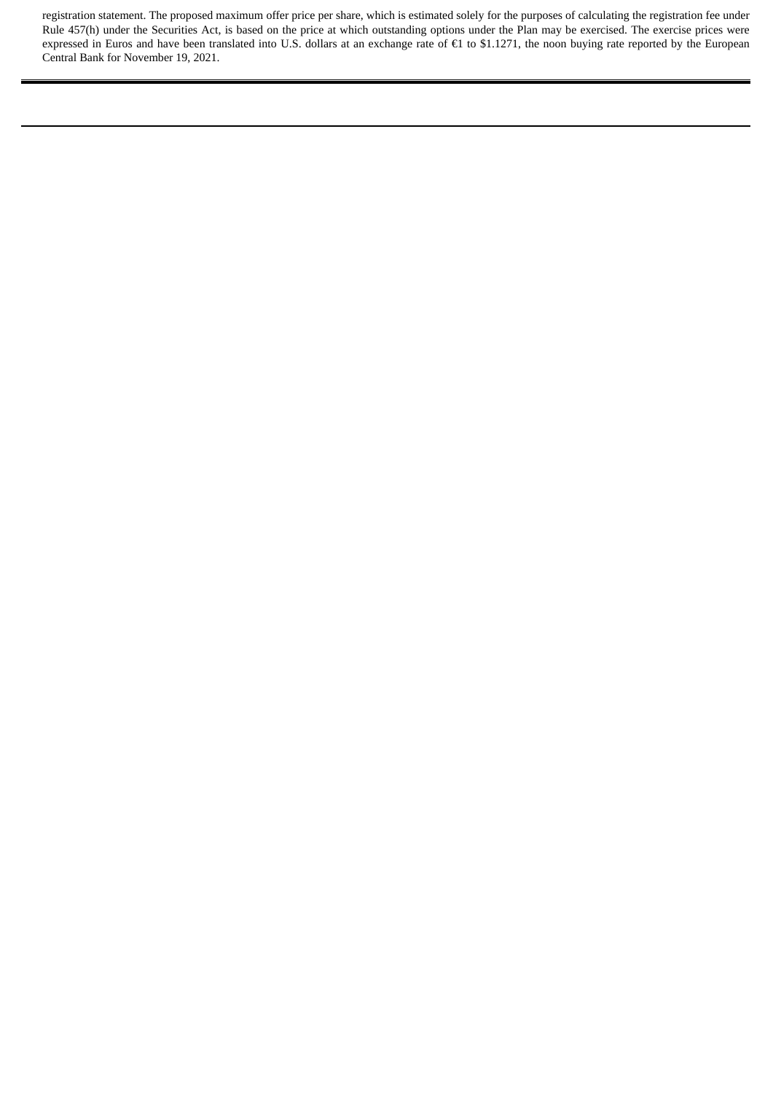registration statement. The proposed maximum offer price per share, which is estimated solely for the purposes of calculating the registration fee under Rule 457(h) under the Securities Act, is based on the price at which outstanding options under the Plan may be exercised. The exercise prices were expressed in Euros and have been translated into U.S. dollars at an exchange rate of €1 to \$1.1271, the noon buying rate reported by the European Central Bank for November 19, 2021.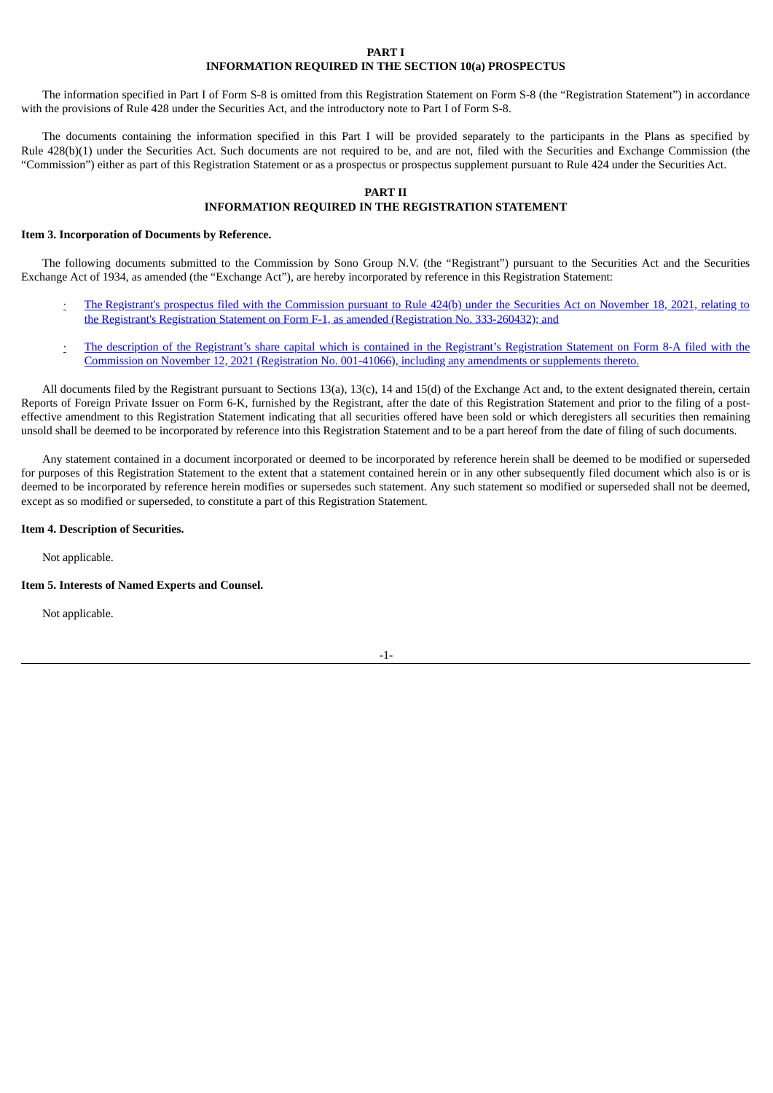#### **PART I INFORMATION REQUIRED IN THE SECTION 10(a) PROSPECTUS**

The information specified in Part I of Form S-8 is omitted from this Registration Statement on Form S-8 (the "Registration Statement") in accordance with the provisions of Rule 428 under the Securities Act, and the introductory note to Part I of Form S-8.

The documents containing the information specified in this Part I will be provided separately to the participants in the Plans as specified by Rule 428(b)(1) under the Securities Act. Such documents are not required to be, and are not, filed with the Securities and Exchange Commission (the "Commission") either as part of this Registration Statement or as a prospectus or prospectus supplement pursuant to Rule 424 under the Securities Act.

#### **PART II**

## **INFORMATION REQUIRED IN THE REGISTRATION STATEMENT**

#### **Item 3. Incorporation of Documents by Reference.**

The following documents submitted to the Commission by Sono Group N.V. (the "Registrant") pursuant to the Securities Act and the Securities Exchange Act of 1934, as amended (the "Exchange Act"), are hereby incorporated by reference in this Registration Statement:

- The Registrant's prospectus filed with the Commission pursuant to Rule 424(b) under the Securities Act on November 18, 2021, relating to the Registrant's Registration Statement on Form F-1, as amended (Registration No. [333-260432\);](https://www.sec.gov/Archives/edgar/data/1840416/000110465921141230/tm212911-16_424b4.htm) and
- [·](https://www.sec.gov/Archives/edgar/data/1840416/000110465921138016/tm212911d13_8a12b.htm) The description of the Registrant's share capital which is contained in the Registrant's Registration Statement on Form 8-A filed with the Commission on November 12, 2021 [\(Registration](https://www.sec.gov/Archives/edgar/data/1840416/000110465921138016/tm212911d13_8a12b.htm) No. 001-41066), including any amendments or supplements thereto.

All documents filed by the Registrant pursuant to Sections 13(a), 13(c), 14 and 15(d) of the Exchange Act and, to the extent designated therein, certain Reports of Foreign Private Issuer on Form 6-K, furnished by the Registrant, after the date of this Registration Statement and prior to the filing of a posteffective amendment to this Registration Statement indicating that all securities offered have been sold or which deregisters all securities then remaining unsold shall be deemed to be incorporated by reference into this Registration Statement and to be a part hereof from the date of filing of such documents.

Any statement contained in a document incorporated or deemed to be incorporated by reference herein shall be deemed to be modified or superseded for purposes of this Registration Statement to the extent that a statement contained herein or in any other subsequently filed document which also is or is deemed to be incorporated by reference herein modifies or supersedes such statement. Any such statement so modified or superseded shall not be deemed, except as so modified or superseded, to constitute a part of this Registration Statement.

#### **Item 4. Description of Securities.**

Not applicable.

#### **Item 5. Interests of Named Experts and Counsel.**

Not applicable.

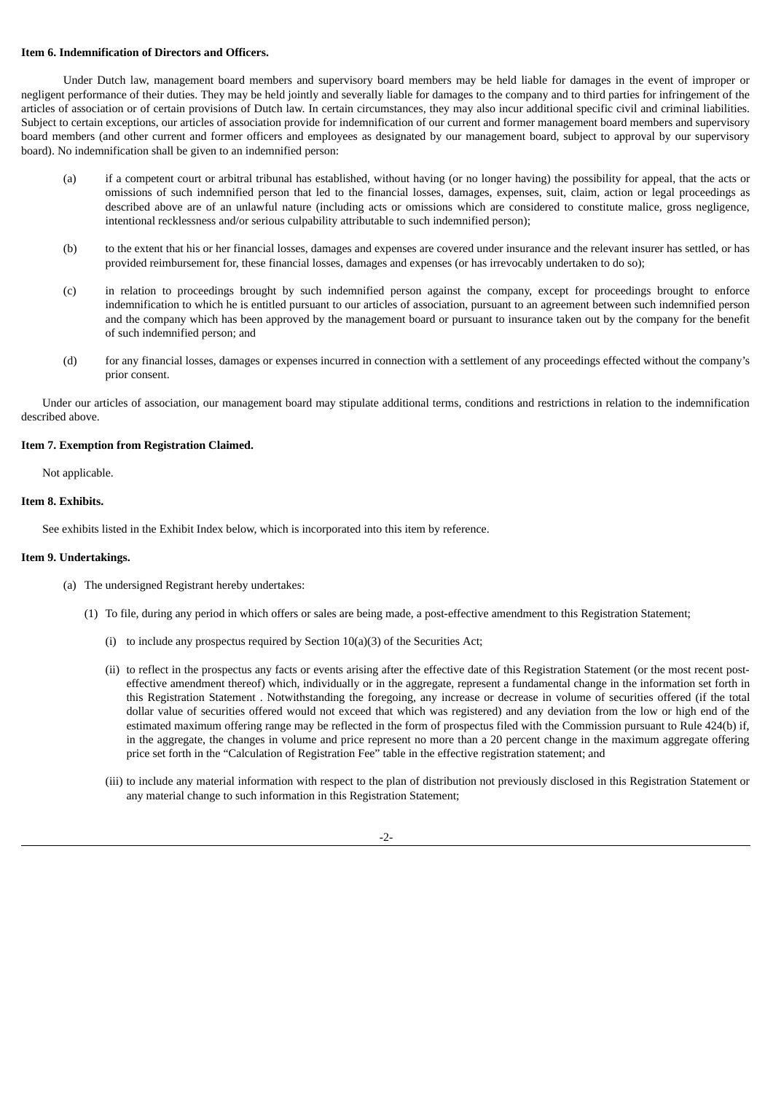#### **Item 6. Indemnification of Directors and Officers.**

Under Dutch law, management board members and supervisory board members may be held liable for damages in the event of improper or negligent performance of their duties. They may be held jointly and severally liable for damages to the company and to third parties for infringement of the articles of association or of certain provisions of Dutch law. In certain circumstances, they may also incur additional specific civil and criminal liabilities. Subject to certain exceptions, our articles of association provide for indemnification of our current and former management board members and supervisory board members (and other current and former officers and employees as designated by our management board, subject to approval by our supervisory board). No indemnification shall be given to an indemnified person:

- (a) if a competent court or arbitral tribunal has established, without having (or no longer having) the possibility for appeal, that the acts or omissions of such indemnified person that led to the financial losses, damages, expenses, suit, claim, action or legal proceedings as described above are of an unlawful nature (including acts or omissions which are considered to constitute malice, gross negligence, intentional recklessness and/or serious culpability attributable to such indemnified person);
- (b) to the extent that his or her financial losses, damages and expenses are covered under insurance and the relevant insurer has settled, or has provided reimbursement for, these financial losses, damages and expenses (or has irrevocably undertaken to do so);
- (c) in relation to proceedings brought by such indemnified person against the company, except for proceedings brought to enforce indemnification to which he is entitled pursuant to our articles of association, pursuant to an agreement between such indemnified person and the company which has been approved by the management board or pursuant to insurance taken out by the company for the benefit of such indemnified person; and
- (d) for any financial losses, damages or expenses incurred in connection with a settlement of any proceedings effected without the company's prior consent.

Under our articles of association, our management board may stipulate additional terms, conditions and restrictions in relation to the indemnification described above.

#### **Item 7. Exemption from Registration Claimed.**

Not applicable.

#### **Item 8. Exhibits.**

See exhibits listed in the Exhibit Index below, which is incorporated into this item by reference.

#### **Item 9. Undertakings.**

- (a) The undersigned Registrant hereby undertakes:
	- (1) To file, during any period in which offers or sales are being made, a post-effective amendment to this Registration Statement;
		- (i) to include any prospectus required by Section 10(a)(3) of the Securities Act;
		- (ii) to reflect in the prospectus any facts or events arising after the effective date of this Registration Statement (or the most recent posteffective amendment thereof) which, individually or in the aggregate, represent a fundamental change in the information set forth in this Registration Statement . Notwithstanding the foregoing, any increase or decrease in volume of securities offered (if the total dollar value of securities offered would not exceed that which was registered) and any deviation from the low or high end of the estimated maximum offering range may be reflected in the form of prospectus filed with the Commission pursuant to Rule 424(b) if, in the aggregate, the changes in volume and price represent no more than a 20 percent change in the maximum aggregate offering price set forth in the "Calculation of Registration Fee" table in the effective registration statement; and
		- (iii) to include any material information with respect to the plan of distribution not previously disclosed in this Registration Statement or any material change to such information in this Registration Statement;

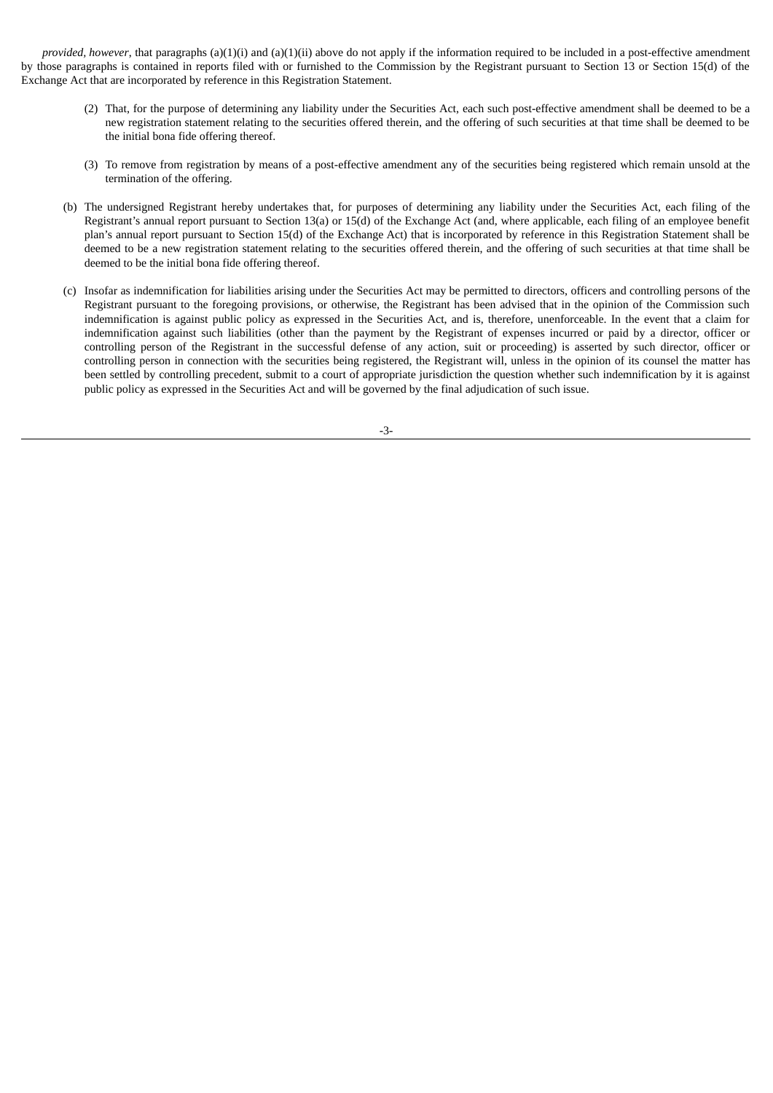*provided, however*, that paragraphs (a)(1)(i) and (a)(1)(ii) above do not apply if the information required to be included in a post-effective amendment by those paragraphs is contained in reports filed with or furnished to the Commission by the Registrant pursuant to Section 13 or Section 15(d) of the Exchange Act that are incorporated by reference in this Registration Statement.

- (2) That, for the purpose of determining any liability under the Securities Act, each such post-effective amendment shall be deemed to be a new registration statement relating to the securities offered therein, and the offering of such securities at that time shall be deemed to be the initial bona fide offering thereof.
- (3) To remove from registration by means of a post-effective amendment any of the securities being registered which remain unsold at the termination of the offering.
- (b) The undersigned Registrant hereby undertakes that, for purposes of determining any liability under the Securities Act, each filing of the Registrant's annual report pursuant to Section 13(a) or 15(d) of the Exchange Act (and, where applicable, each filing of an employee benefit plan's annual report pursuant to Section 15(d) of the Exchange Act) that is incorporated by reference in this Registration Statement shall be deemed to be a new registration statement relating to the securities offered therein, and the offering of such securities at that time shall be deemed to be the initial bona fide offering thereof.
- (c) Insofar as indemnification for liabilities arising under the Securities Act may be permitted to directors, officers and controlling persons of the Registrant pursuant to the foregoing provisions, or otherwise, the Registrant has been advised that in the opinion of the Commission such indemnification is against public policy as expressed in the Securities Act, and is, therefore, unenforceable. In the event that a claim for indemnification against such liabilities (other than the payment by the Registrant of expenses incurred or paid by a director, officer or controlling person of the Registrant in the successful defense of any action, suit or proceeding) is asserted by such director, officer or controlling person in connection with the securities being registered, the Registrant will, unless in the opinion of its counsel the matter has been settled by controlling precedent, submit to a court of appropriate jurisdiction the question whether such indemnification by it is against public policy as expressed in the Securities Act and will be governed by the final adjudication of such issue.

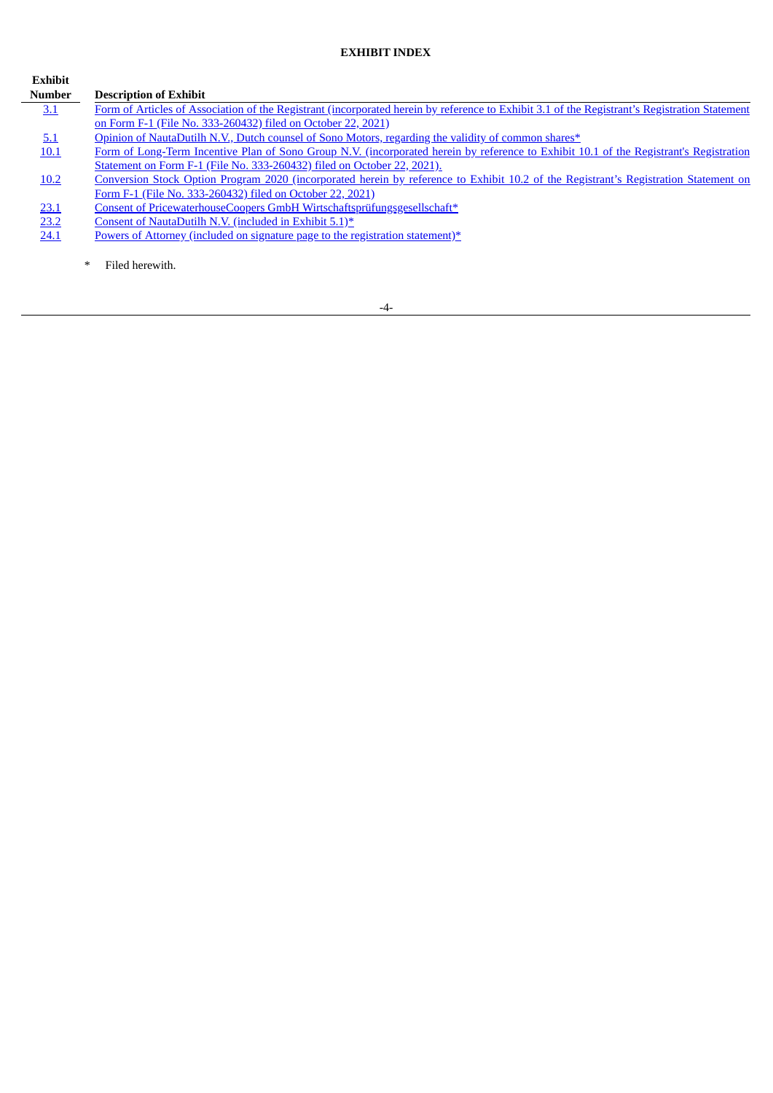# **EXHIBIT INDEX**

**Exhibit**

| <b>Number</b> | <b>Description of Exhibit</b>                                                                                                                 |
|---------------|-----------------------------------------------------------------------------------------------------------------------------------------------|
| 3.1           | Form of Articles of Association of the Registrant (incorporated herein by reference to Exhibit 3.1 of the Registrant's Registration Statement |
|               | on Form F-1 (File No. 333-260432) filed on October 22, 2021).                                                                                 |
| 5.1           | Opinion of NautaDutilh N.V., Dutch counsel of Sono Motors, regarding the validity of common shares*                                           |
| 10.1          | Form of Long-Term Incentive Plan of Sono Group N.V. (incorporated herein by reference to Exhibit 10.1 of the Registrant's Registration        |
|               | Statement on Form F-1 (File No. 333-260432) filed on October 22, 2021).                                                                       |
| 10.2          | Conversion Stock Option Program 2020 (incorporated herein by reference to Exhibit 10.2 of the Registrant's Registration Statement on          |
|               | Form F-1 (File No. 333-260432) filed on October 22, 2021)                                                                                     |
| <u>23.1</u>   | Consent of PricewaterhouseCoopers GmbH Wirtschaftsprüfungsgesellschaft*                                                                       |
| 23.2          | Consent of NautaDutilh N.V. (included in Exhibit 5.1)*                                                                                        |
| 24.1          | Powers of Attorney (included on signature page to the registration statement)*                                                                |

\* Filed herewith.

-4-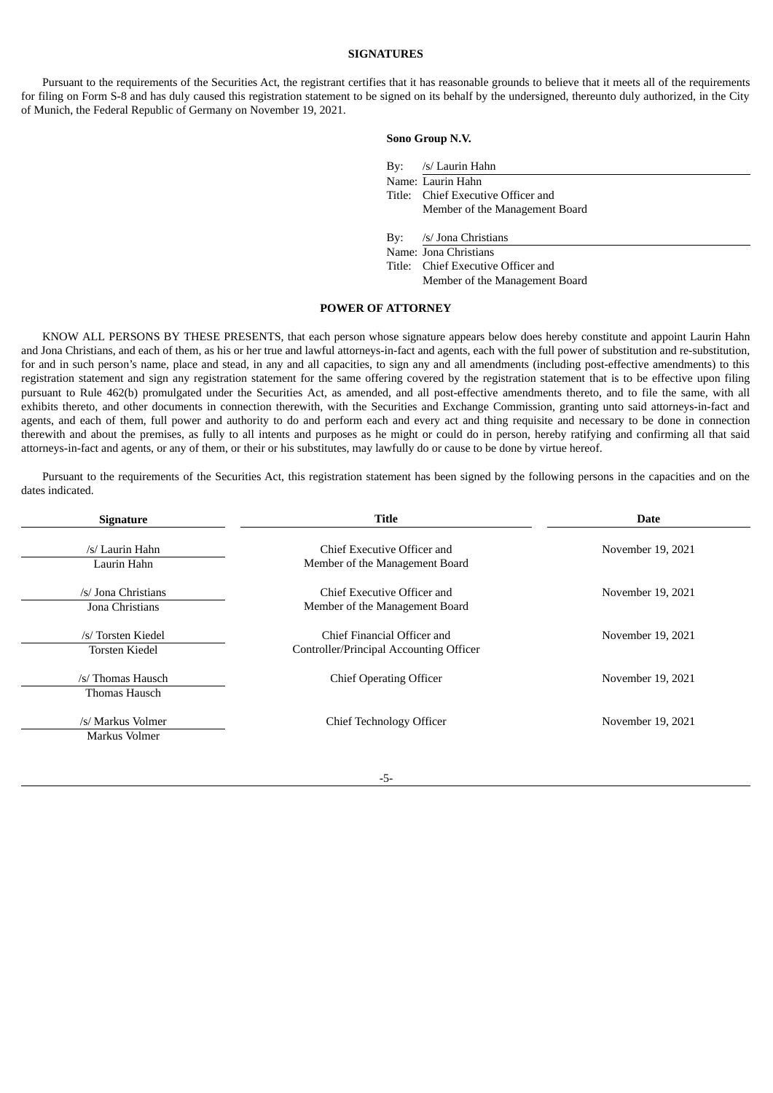#### **SIGNATURES**

<span id="page-6-0"></span>Pursuant to the requirements of the Securities Act, the registrant certifies that it has reasonable grounds to believe that it meets all of the requirements for filing on Form S-8 and has duly caused this registration statement to be signed on its behalf by the undersigned, thereunto duly authorized, in the City of Munich, the Federal Republic of Germany on November 19, 2021.

#### **Sono Group N.V.**

| By: | /s/ Laurin Hahn |  |
|-----|-----------------|--|
|-----|-----------------|--|

Name: Laurin Hahn Title: Chief Executive Officer and Member of the Management Board

By: /s/ Jona Christians

Name: Jona Christians Title: Chief Executive Officer and

Member of the Management Board

#### **POWER OF ATTORNEY**

KNOW ALL PERSONS BY THESE PRESENTS, that each person whose signature appears below does hereby constitute and appoint Laurin Hahn and Jona Christians, and each of them, as his or her true and lawful attorneys-in-fact and agents, each with the full power of substitution and re-substitution, for and in such person's name, place and stead, in any and all capacities, to sign any and all amendments (including post-effective amendments) to this registration statement and sign any registration statement for the same offering covered by the registration statement that is to be effective upon filing pursuant to Rule 462(b) promulgated under the Securities Act, as amended, and all post-effective amendments thereto, and to file the same, with all exhibits thereto, and other documents in connection therewith, with the Securities and Exchange Commission, granting unto said attorneys-in-fact and agents, and each of them, full power and authority to do and perform each and every act and thing requisite and necessary to be done in connection therewith and about the premises, as fully to all intents and purposes as he might or could do in person, hereby ratifying and confirming all that said attorneys-in-fact and agents, or any of them, or their or his substitutes, may lawfully do or cause to be done by virtue hereof.

Pursuant to the requirements of the Securities Act, this registration statement has been signed by the following persons in the capacities and on the dates indicated.

| <b>Signature</b>                            | Title                                                                  | <b>Date</b>       |  |
|---------------------------------------------|------------------------------------------------------------------------|-------------------|--|
| /s/ Laurin Hahn<br>Laurin Hahn              | Chief Executive Officer and<br>Member of the Management Board          | November 19, 2021 |  |
| /s/ Jona Christians<br>Jona Christians      | Chief Executive Officer and<br>Member of the Management Board          | November 19, 2021 |  |
| /s/ Torsten Kiedel<br><b>Torsten Kiedel</b> | Chief Financial Officer and<br>Controller/Principal Accounting Officer | November 19, 2021 |  |
| /s/ Thomas Hausch<br>Thomas Hausch          | <b>Chief Operating Officer</b>                                         | November 19, 2021 |  |
| /s/ Markus Volmer<br>Markus Volmer          | <b>Chief Technology Officer</b>                                        | November 19, 2021 |  |

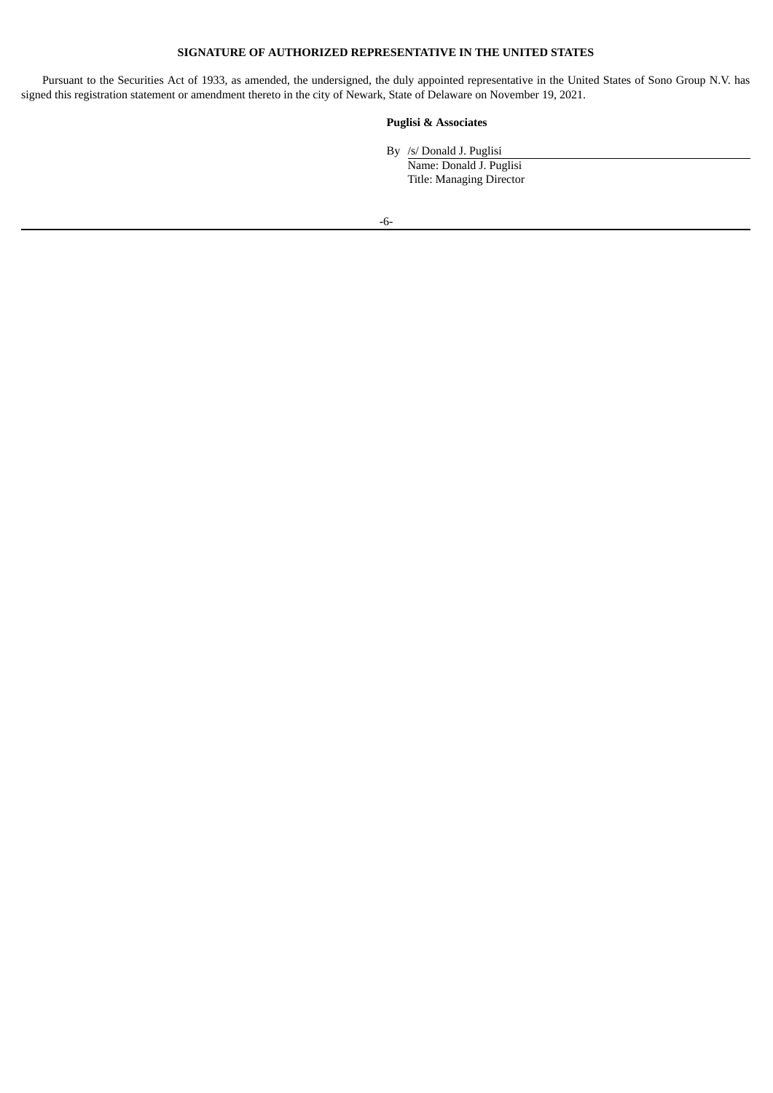## **SIGNATURE OF AUTHORIZED REPRESENTATIVE IN THE UNITED STATES**

Pursuant to the Securities Act of 1933, as amended, the undersigned, the duly appointed representative in the United States of Sono Group N.V. has signed this registration statement or amendment thereto in the city of Newark, State of Delaware on November 19, 2021.

### **Puglisi & Associates**

By /s/ Donald J. Puglisi

Name: Donald J. Puglisi Title: Managing Director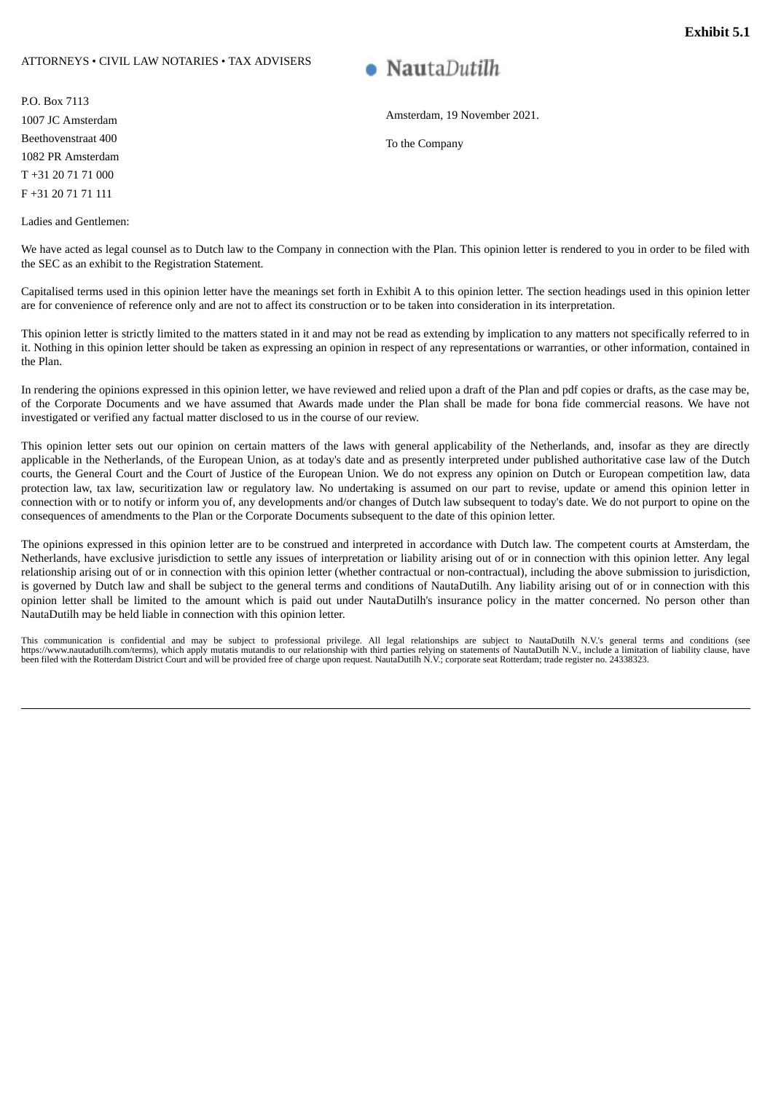#### <span id="page-8-0"></span>ATTORNEYS • CIVIL LAW NOTARIES • TAX ADVISERS

P.O. Box 7113 1007 JC Amsterdam Beethovenstraat 400 1082 PR Amsterdam T +31 20 71 71 000 F +31 20 71 71 111

Ladies and Gentlemen:

# **NautaDutilh**

Amsterdam, 19 November 2021.

To the Company

We have acted as legal counsel as to Dutch law to the Company in connection with the Plan. This opinion letter is rendered to you in order to be filed with the SEC as an exhibit to the Registration Statement.

Capitalised terms used in this opinion letter have the meanings set forth in Exhibit A to this opinion letter. The section headings used in this opinion letter are for convenience of reference only and are not to affect its construction or to be taken into consideration in its interpretation.

This opinion letter is strictly limited to the matters stated in it and may not be read as extending by implication to any matters not specifically referred to in it. Nothing in this opinion letter should be taken as expressing an opinion in respect of any representations or warranties, or other information, contained in the Plan.

In rendering the opinions expressed in this opinion letter, we have reviewed and relied upon a draft of the Plan and pdf copies or drafts, as the case may be, of the Corporate Documents and we have assumed that Awards made under the Plan shall be made for bona fide commercial reasons. We have not investigated or verified any factual matter disclosed to us in the course of our review.

This opinion letter sets out our opinion on certain matters of the laws with general applicability of the Netherlands, and, insofar as they are directly applicable in the Netherlands, of the European Union, as at today's date and as presently interpreted under published authoritative case law of the Dutch courts, the General Court and the Court of Justice of the European Union. We do not express any opinion on Dutch or European competition law, data protection law, tax law, securitization law or regulatory law. No undertaking is assumed on our part to revise, update or amend this opinion letter in connection with or to notify or inform you of, any developments and/or changes of Dutch law subsequent to today's date. We do not purport to opine on the consequences of amendments to the Plan or the Corporate Documents subsequent to the date of this opinion letter.

The opinions expressed in this opinion letter are to be construed and interpreted in accordance with Dutch law. The competent courts at Amsterdam, the Netherlands, have exclusive jurisdiction to settle any issues of interpretation or liability arising out of or in connection with this opinion letter. Any legal relationship arising out of or in connection with this opinion letter (whether contractual or non-contractual), including the above submission to jurisdiction, is governed by Dutch law and shall be subject to the general terms and conditions of NautaDutilh. Any liability arising out of or in connection with this opinion letter shall be limited to the amount which is paid out under NautaDutilh's insurance policy in the matter concerned. No person other than NautaDutilh may be held liable in connection with this opinion letter.

This communication is confidential and may be subject to professional privilege. All legal relationships are subject to NautaDutilh N.V.'s general terms and conditions (see<br>https://www.nautadutilh.com/terms), which apply m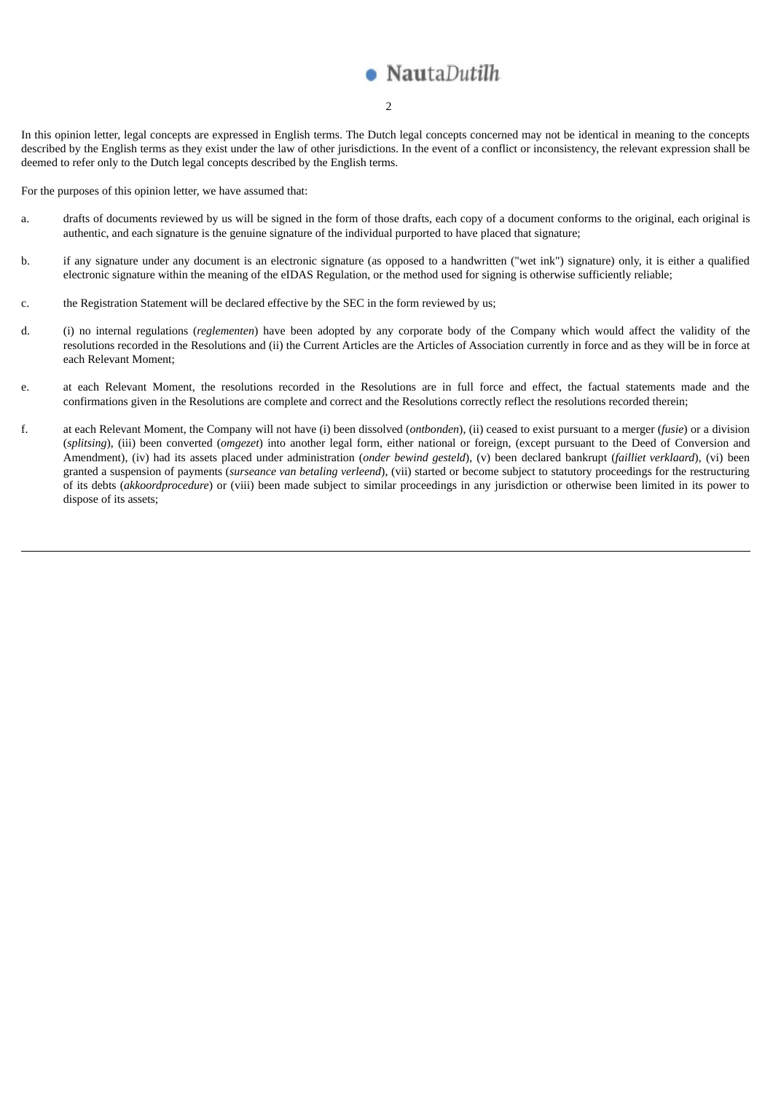# NautaDutilh

#### 2

In this opinion letter, legal concepts are expressed in English terms. The Dutch legal concepts concerned may not be identical in meaning to the concepts described by the English terms as they exist under the law of other jurisdictions. In the event of a conflict or inconsistency, the relevant expression shall be deemed to refer only to the Dutch legal concepts described by the English terms.

For the purposes of this opinion letter, we have assumed that:

- a. drafts of documents reviewed by us will be signed in the form of those drafts, each copy of a document conforms to the original, each original is authentic, and each signature is the genuine signature of the individual purported to have placed that signature;
- b. if any signature under any document is an electronic signature (as opposed to a handwritten ("wet ink") signature) only, it is either a qualified electronic signature within the meaning of the eIDAS Regulation, or the method used for signing is otherwise sufficiently reliable;
- c. the Registration Statement will be declared effective by the SEC in the form reviewed by us;
- d. (i) no internal regulations (*reglementen*) have been adopted by any corporate body of the Company which would affect the validity of the resolutions recorded in the Resolutions and (ii) the Current Articles are the Articles of Association currently in force and as they will be in force at each Relevant Moment;
- e. at each Relevant Moment, the resolutions recorded in the Resolutions are in full force and effect, the factual statements made and the confirmations given in the Resolutions are complete and correct and the Resolutions correctly reflect the resolutions recorded therein;
- f. at each Relevant Moment, the Company will not have (i) been dissolved (*ontbonden*), (ii) ceased to exist pursuant to a merger (*fusie*) or a division (*splitsing*), (iii) been converted (*omgezet*) into another legal form, either national or foreign, (except pursuant to the Deed of Conversion and Amendment), (iv) had its assets placed under administration (*onder bewind gesteld*), (v) been declared bankrupt (*failliet verklaard*), (vi) been granted a suspension of payments (*surseance van betaling verleend*), (vii) started or become subject to statutory proceedings for the restructuring of its debts (*akkoordprocedure*) or (viii) been made subject to similar proceedings in any jurisdiction or otherwise been limited in its power to dispose of its assets;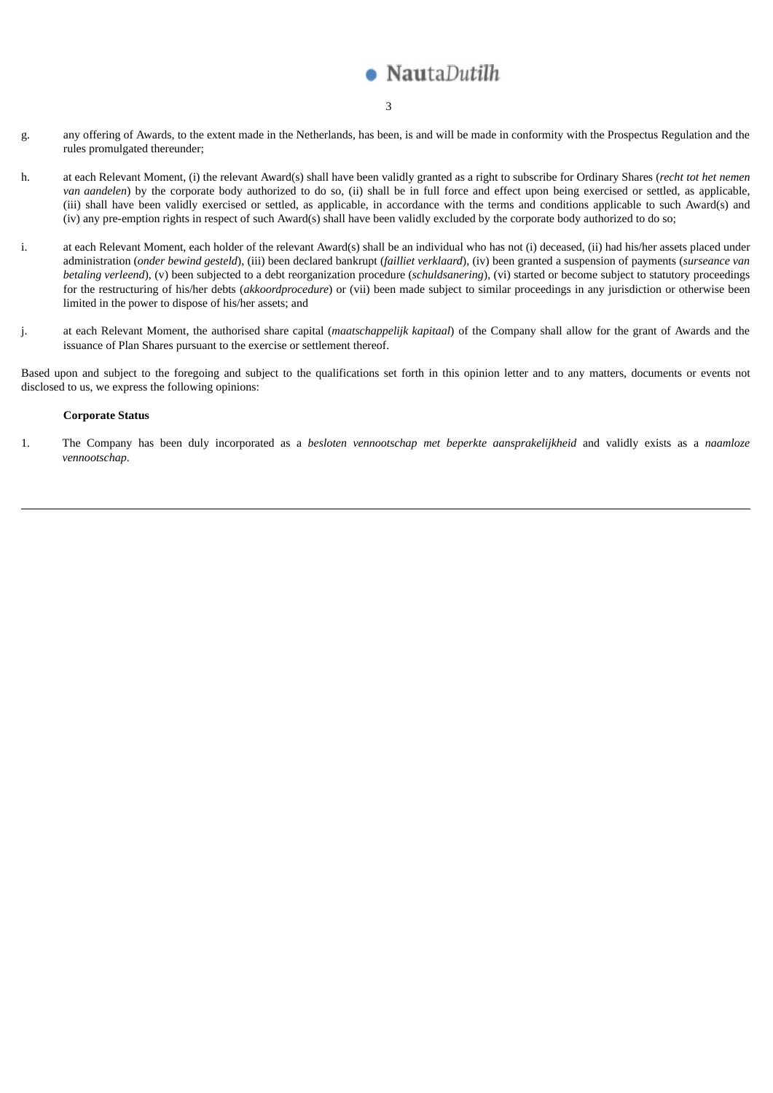# NautaDutilh

- 3
- g. any offering of Awards, to the extent made in the Netherlands, has been, is and will be made in conformity with the Prospectus Regulation and the rules promulgated thereunder;
- h. at each Relevant Moment, (i) the relevant Award(s) shall have been validly granted as a right to subscribe for Ordinary Shares (*recht tot het nemen van aandelen*) by the corporate body authorized to do so, (ii) shall be in full force and effect upon being exercised or settled, as applicable, (iii) shall have been validly exercised or settled, as applicable, in accordance with the terms and conditions applicable to such Award(s) and (iv) any pre-emption rights in respect of such Award(s) shall have been validly excluded by the corporate body authorized to do so;
- i. at each Relevant Moment, each holder of the relevant Award(s) shall be an individual who has not (i) deceased, (ii) had his/her assets placed under administration (*onder bewind gesteld*), (iii) been declared bankrupt (*failliet verklaard*), (iv) been granted a suspension of payments (*surseance van betaling verleend*), (v) been subjected to a debt reorganization procedure (*schuldsanering*), (vi) started or become subject to statutory proceedings for the restructuring of his/her debts (*akkoordprocedure*) or (vii) been made subject to similar proceedings in any jurisdiction or otherwise been limited in the power to dispose of his/her assets; and
- j. at each Relevant Moment, the authorised share capital (*maatschappelijk kapitaal*) of the Company shall allow for the grant of Awards and the issuance of Plan Shares pursuant to the exercise or settlement thereof.

Based upon and subject to the foregoing and subject to the qualifications set forth in this opinion letter and to any matters, documents or events not disclosed to us, we express the following opinions:

#### **Corporate Status**

1. The Company has been duly incorporated as a *besloten vennootschap met beperkte aansprakelijkheid* and validly exists as a *naamloze vennootschap*.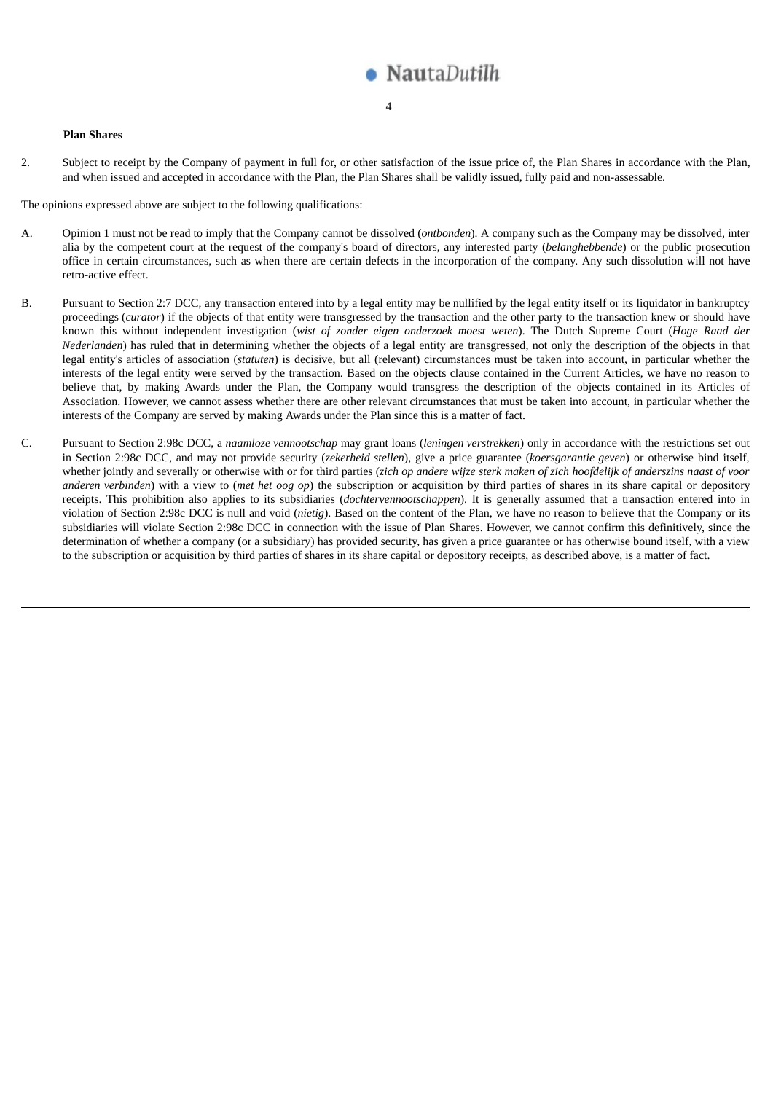

#### 4

#### **Plan Shares**

2. Subject to receipt by the Company of payment in full for, or other satisfaction of the issue price of, the Plan Shares in accordance with the Plan, and when issued and accepted in accordance with the Plan, the Plan Shares shall be validly issued, fully paid and non-assessable.

The opinions expressed above are subject to the following qualifications:

- A. Opinion 1 must not be read to imply that the Company cannot be dissolved (*ontbonden*). A company such as the Company may be dissolved, inter alia by the competent court at the request of the company's board of directors, any interested party (*belanghebbende*) or the public prosecution office in certain circumstances, such as when there are certain defects in the incorporation of the company. Any such dissolution will not have retro-active effect.
- B. Pursuant to Section 2:7 DCC, any transaction entered into by a legal entity may be nullified by the legal entity itself or its liquidator in bankruptcy proceedings (*curator*) if the objects of that entity were transgressed by the transaction and the other party to the transaction knew or should have known this without independent investigation (*wist of zonder eigen onderzoek moest weten*). The Dutch Supreme Court (*Hoge Raad der Nederlanden*) has ruled that in determining whether the objects of a legal entity are transgressed, not only the description of the objects in that legal entity's articles of association (*statuten*) is decisive, but all (relevant) circumstances must be taken into account, in particular whether the interests of the legal entity were served by the transaction. Based on the objects clause contained in the Current Articles, we have no reason to believe that, by making Awards under the Plan, the Company would transgress the description of the objects contained in its Articles of Association. However, we cannot assess whether there are other relevant circumstances that must be taken into account, in particular whether the interests of the Company are served by making Awards under the Plan since this is a matter of fact.
- C. Pursuant to Section 2:98c DCC, a *naamloze vennootschap* may grant loans (*leningen verstrekken*) only in accordance with the restrictions set out in Section 2:98c DCC, and may not provide security (*zekerheid stellen*), give a price guarantee (*koersgarantie geven*) or otherwise bind itself, whether jointly and severally or otherwise with or for third parties (zich op andere wijze sterk maken of zich hoofdelijk of anderszins naast of voor *anderen verbinden*) with a view to (*met het oog op*) the subscription or acquisition by third parties of shares in its share capital or depository receipts. This prohibition also applies to its subsidiaries (*dochtervennootschappen*). It is generally assumed that a transaction entered into in violation of Section 2:98c DCC is null and void (*nietig*). Based on the content of the Plan, we have no reason to believe that the Company or its subsidiaries will violate Section 2:98c DCC in connection with the issue of Plan Shares. However, we cannot confirm this definitively, since the determination of whether a company (or a subsidiary) has provided security, has given a price guarantee or has otherwise bound itself, with a view to the subscription or acquisition by third parties of shares in its share capital or depository receipts, as described above, is a matter of fact.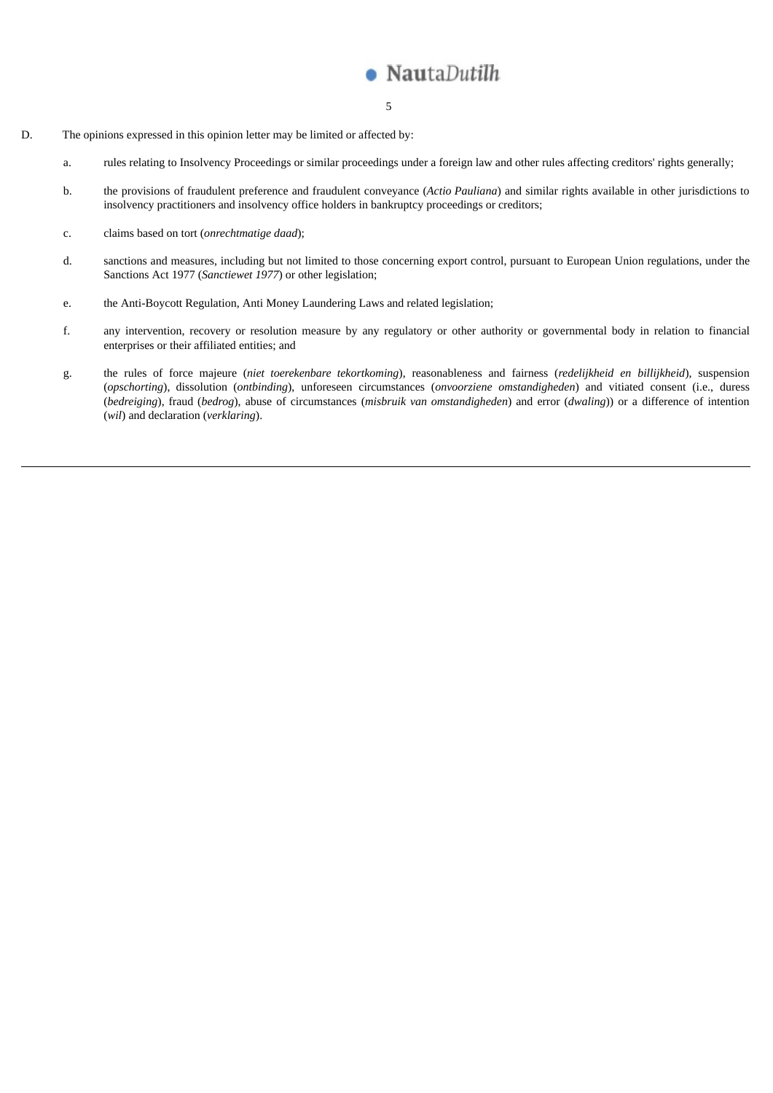

- 5
- D. The opinions expressed in this opinion letter may be limited or affected by:
	- a. rules relating to Insolvency Proceedings or similar proceedings under a foreign law and other rules affecting creditors' rights generally;
	- b. the provisions of fraudulent preference and fraudulent conveyance (*Actio Pauliana*) and similar rights available in other jurisdictions to insolvency practitioners and insolvency office holders in bankruptcy proceedings or creditors;
	- c. claims based on tort (*onrechtmatige daad*);
	- d. sanctions and measures, including but not limited to those concerning export control, pursuant to European Union regulations, under the Sanctions Act 1977 (*Sanctiewet 1977*) or other legislation;
	- e. the Anti-Boycott Regulation, Anti Money Laundering Laws and related legislation;
	- f. any intervention, recovery or resolution measure by any regulatory or other authority or governmental body in relation to financial enterprises or their affiliated entities; and
	- g. the rules of force majeure (*niet toerekenbare tekortkoming*), reasonableness and fairness (*redelijkheid en billijkheid*), suspension (*opschorting*), dissolution (*ontbinding*), unforeseen circumstances (*onvoorziene omstandigheden*) and vitiated consent (i.e., duress (*bedreiging*), fraud (*bedrog*), abuse of circumstances (*misbruik van omstandigheden*) and error (*dwaling*)) or a difference of intention (*wil*) and declaration (*verklaring*).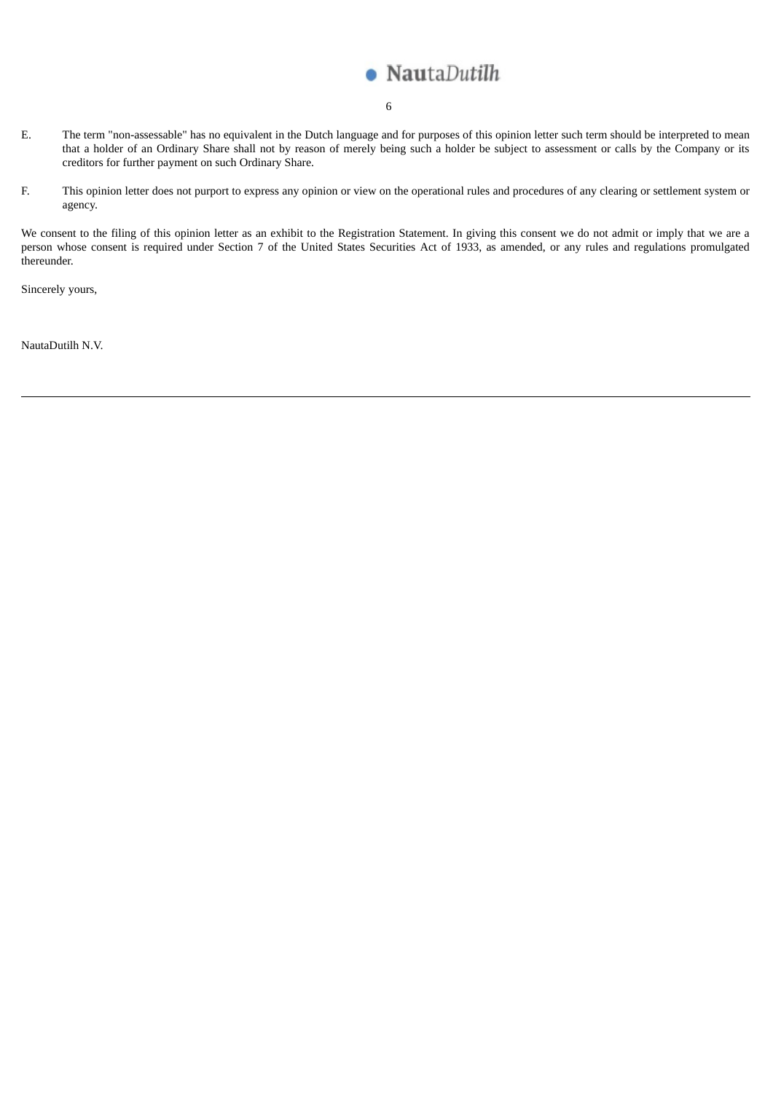

- 6
- E. The term "non-assessable" has no equivalent in the Dutch language and for purposes of this opinion letter such term should be interpreted to mean that a holder of an Ordinary Share shall not by reason of merely being such a holder be subject to assessment or calls by the Company or its creditors for further payment on such Ordinary Share.
- F. This opinion letter does not purport to express any opinion or view on the operational rules and procedures of any clearing or settlement system or agency.

We consent to the filing of this opinion letter as an exhibit to the Registration Statement. In giving this consent we do not admit or imply that we are a person whose consent is required under Section 7 of the United States Securities Act of 1933, as amended, or any rules and regulations promulgated thereunder.

Sincerely yours,

NautaDutilh N.V.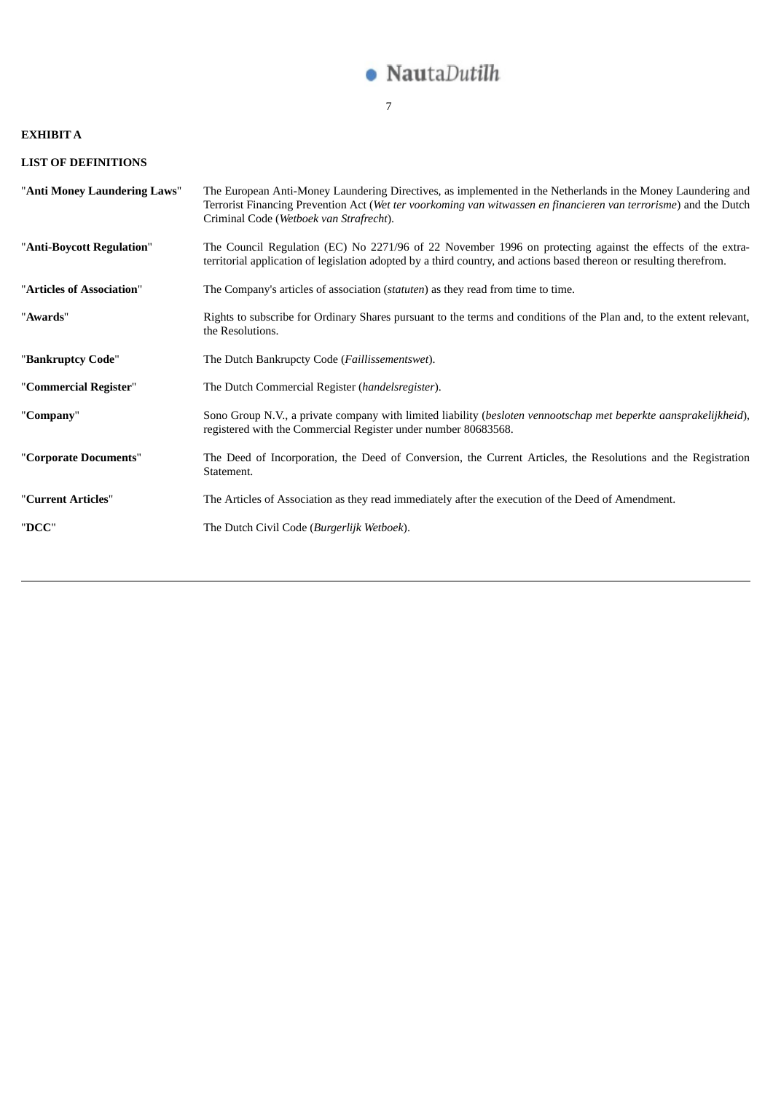

### 7

# **EXHIBIT A**

# **LIST OF DEFINITIONS**

| "Anti Money Laundering Laws" | The European Anti-Money Laundering Directives, as implemented in the Netherlands in the Money Laundering and<br>Terrorist Financing Prevention Act (Wet ter voorkoming van witwassen en financieren van terrorisme) and the Dutch<br>Criminal Code (Wetboek van Strafrecht). |
|------------------------------|------------------------------------------------------------------------------------------------------------------------------------------------------------------------------------------------------------------------------------------------------------------------------|
| "Anti-Boycott Regulation"    | The Council Regulation (EC) No 2271/96 of 22 November 1996 on protecting against the effects of the extra-<br>territorial application of legislation adopted by a third country, and actions based thereon or resulting therefrom.                                           |
| "Articles of Association"    | The Company's articles of association <i>(statuten)</i> as they read from time to time.                                                                                                                                                                                      |
| "Awards"                     | Rights to subscribe for Ordinary Shares pursuant to the terms and conditions of the Plan and, to the extent relevant,<br>the Resolutions.                                                                                                                                    |
| "Bankruptcy Code"            | The Dutch Bankrupcty Code (Faillissementswet).                                                                                                                                                                                                                               |
| "Commercial Register"        | The Dutch Commercial Register (handelsregister).                                                                                                                                                                                                                             |
| "Company"                    | Sono Group N.V., a private company with limited liability (besloten vennootschap met beperkte aansprakelijkheid),<br>registered with the Commercial Register under number 80683568.                                                                                          |
| "Corporate Documents"        | The Deed of Incorporation, the Deed of Conversion, the Current Articles, the Resolutions and the Registration<br>Statement.                                                                                                                                                  |
| "Current Articles"           | The Articles of Association as they read immediately after the execution of the Deed of Amendment.                                                                                                                                                                           |
| "DCC"                        | The Dutch Civil Code (Burgerlijk Wetboek).                                                                                                                                                                                                                                   |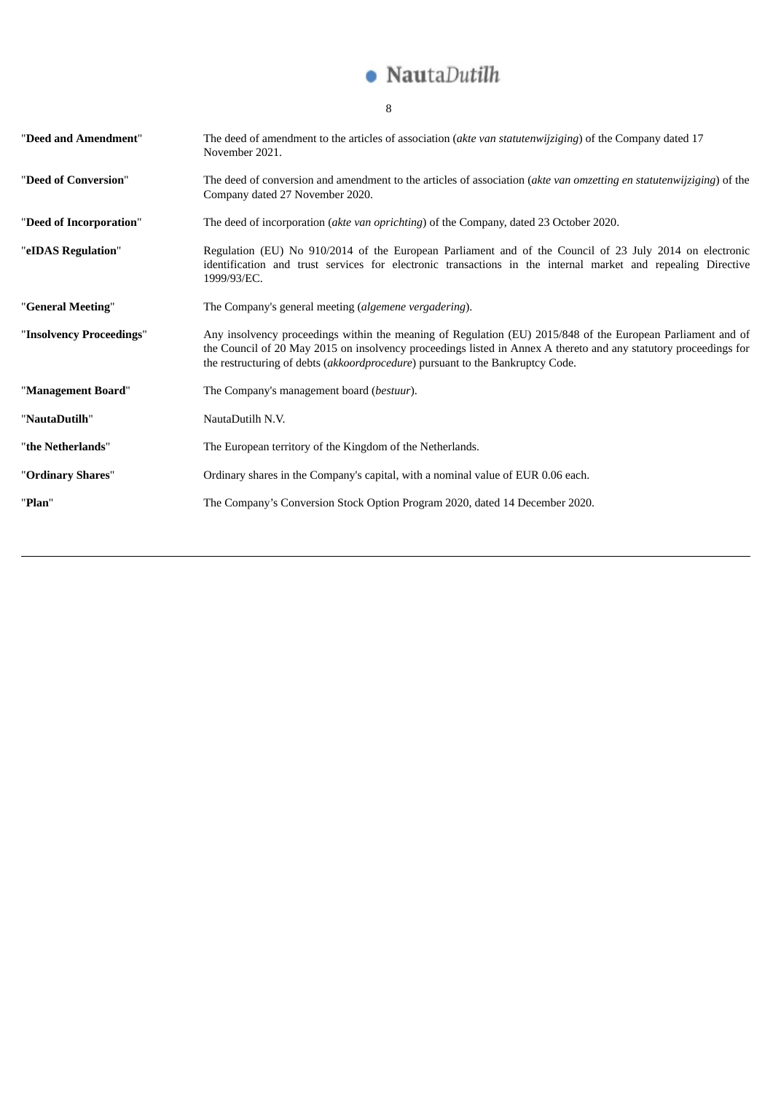

8

| "Deed and Amendment"     | The deed of amendment to the articles of association (akte van statutenwijziging) of the Company dated 17<br>November 2021.                                                                                                                                                                                       |
|--------------------------|-------------------------------------------------------------------------------------------------------------------------------------------------------------------------------------------------------------------------------------------------------------------------------------------------------------------|
| "Deed of Conversion"     | The deed of conversion and amendment to the articles of association (akte van omzetting en statutenwijziging) of the<br>Company dated 27 November 2020.                                                                                                                                                           |
| "Deed of Incorporation"  | The deed of incorporation (akte van oprichting) of the Company, dated 23 October 2020.                                                                                                                                                                                                                            |
| "eIDAS Regulation"       | Regulation (EU) No 910/2014 of the European Parliament and of the Council of 23 July 2014 on electronic<br>identification and trust services for electronic transactions in the internal market and repealing Directive<br>1999/93/EC.                                                                            |
| "General Meeting"        | The Company's general meeting (algemene vergadering).                                                                                                                                                                                                                                                             |
| "Insolvency Proceedings" | Any insolvency proceedings within the meaning of Regulation (EU) 2015/848 of the European Parliament and of<br>the Council of 20 May 2015 on insolvency proceedings listed in Annex A thereto and any statutory proceedings for<br>the restructuring of debts (akkoordprocedure) pursuant to the Bankruptcy Code. |
| "Management Board"       | The Company's management board (bestuur).                                                                                                                                                                                                                                                                         |
| "NautaDutilh"            | NautaDutilh N.V.                                                                                                                                                                                                                                                                                                  |
| "the Netherlands"        | The European territory of the Kingdom of the Netherlands.                                                                                                                                                                                                                                                         |
| "Ordinary Shares"        | Ordinary shares in the Company's capital, with a nominal value of EUR 0.06 each.                                                                                                                                                                                                                                  |
| "Plan"                   | The Company's Conversion Stock Option Program 2020, dated 14 December 2020.                                                                                                                                                                                                                                       |
|                          |                                                                                                                                                                                                                                                                                                                   |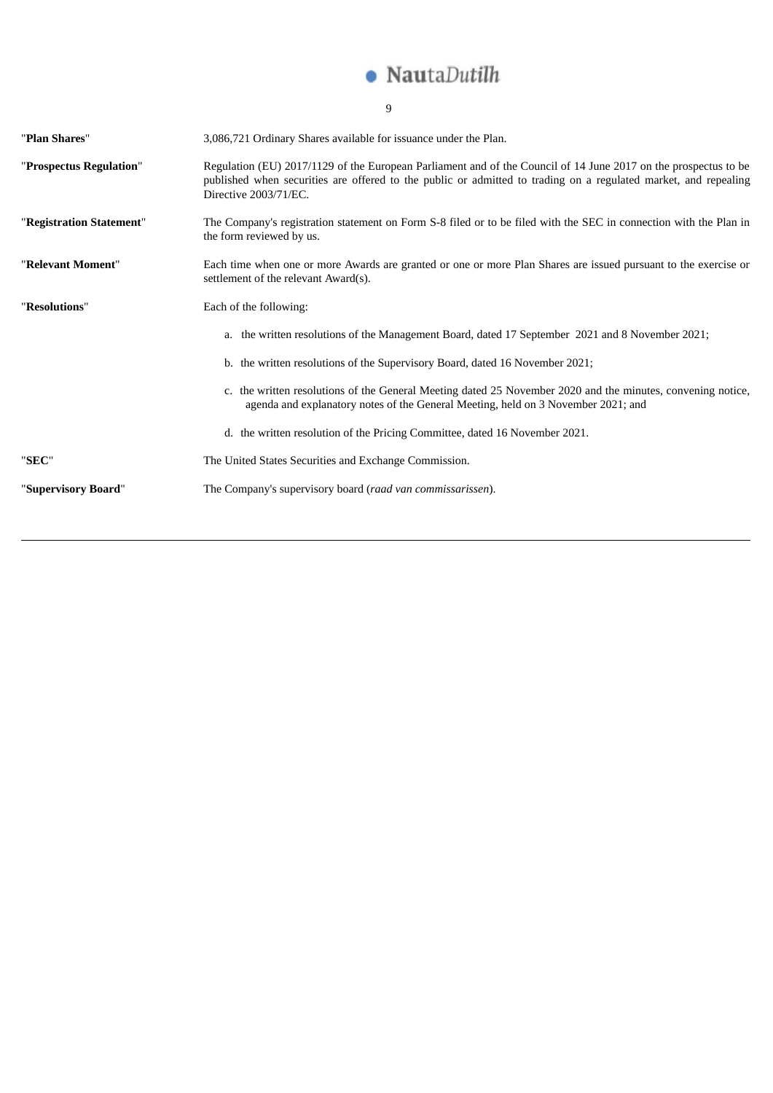

|                          | 9                                                                                                                                                                                                                                                           |
|--------------------------|-------------------------------------------------------------------------------------------------------------------------------------------------------------------------------------------------------------------------------------------------------------|
| "Plan Shares"            | 3,086,721 Ordinary Shares available for issuance under the Plan.                                                                                                                                                                                            |
| "Prospectus Regulation"  | Regulation (EU) 2017/1129 of the European Parliament and of the Council of 14 June 2017 on the prospectus to be<br>published when securities are offered to the public or admitted to trading on a regulated market, and repealing<br>Directive 2003/71/EC. |
| "Registration Statement" | The Company's registration statement on Form S-8 filed or to be filed with the SEC in connection with the Plan in<br>the form reviewed by us.                                                                                                               |
| "Relevant Moment"        | Each time when one or more Awards are granted or one or more Plan Shares are issued pursuant to the exercise or<br>settlement of the relevant Award(s).                                                                                                     |
| "Resolutions"            | Each of the following:                                                                                                                                                                                                                                      |
|                          | a. the written resolutions of the Management Board, dated 17 September 2021 and 8 November 2021;                                                                                                                                                            |
|                          | b. the written resolutions of the Supervisory Board, dated 16 November 2021;                                                                                                                                                                                |
|                          | c. the written resolutions of the General Meeting dated 25 November 2020 and the minutes, convening notice,<br>agenda and explanatory notes of the General Meeting, held on 3 November 2021; and                                                            |
|                          | d. the written resolution of the Pricing Committee, dated 16 November 2021.                                                                                                                                                                                 |
| "SEC"                    | The United States Securities and Exchange Commission.                                                                                                                                                                                                       |
| "Supervisory Board"      | The Company's supervisory board (raad van commissarissen).                                                                                                                                                                                                  |